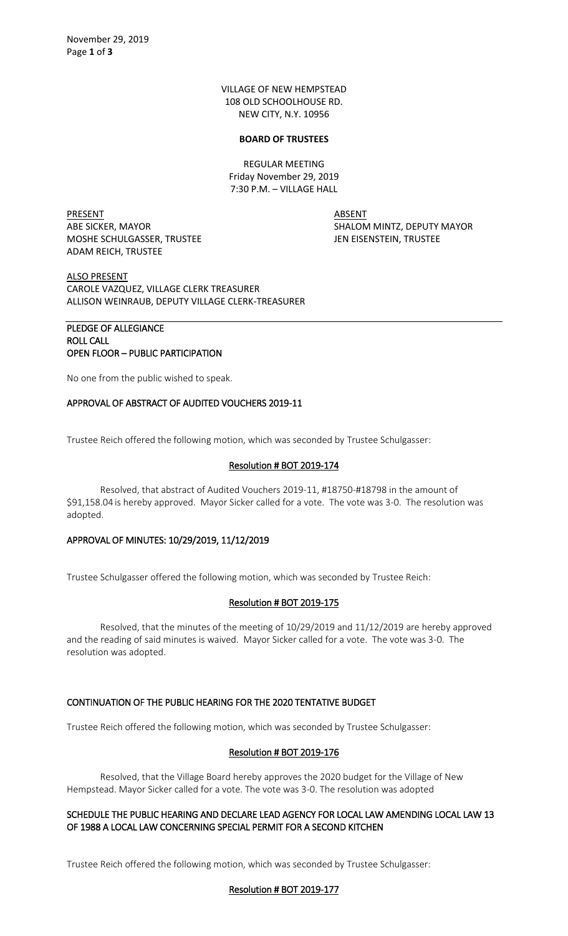VILLAGE OF NEW HEMPSTEAD 108 OLD SCHOOLHOUSE RD. NEW CITY, N.Y. 10956

#### **BOARD OF TRUSTEES**

REGULAR MEETING Friday November 29, 2019 7:30 P.M. – VILLAGE HALL

PRESENT ABSENT MOSHE SCHULGASSER, TRUSTEE JEN EISENSTEIN, TRUSTEE ADAM REICH, TRUSTEE

ABE SICKER, MAYOR SHALOM MINTZ, DEPUTY MAYOR

ALSO PRESENT CAROLE VAZQUEZ, VILLAGE CLERK TREASURER ALLISON WEINRAUB, DEPUTY VILLAGE CLERK-TREASURER

## PLEDGE OF ALLEGIANCE ROLL CALL OPEN FLOOR – PUBLIC PARTICIPATION

No one from the public wished to speak.

### APPROVAL OF ABSTRACT OF AUDITED VOUCHERS 2019-11

Trustee Reich offered the following motion, which was seconded by Trustee Schulgasser:

### Resolution # BOT 2019-174

Resolved, that abstract of Audited Vouchers 2019-11, #18750-#18798 in the amount of \$91,158.04 is hereby approved. Mayor Sicker called for a vote. The vote was 3-0. The resolution was adopted.

### APPROVAL OF MINUTES: 10/29/2019, 11/12/2019

Trustee Schulgasser offered the following motion, which was seconded by Trustee Reich:

### Resolution # BOT 2019-175

Resolved, that the minutes of the meeting of 10/29/2019 and 11/12/2019 are hereby approved and the reading of said minutes is waived. Mayor Sicker called for a vote. The vote was 3-0. The resolution was adopted.

### CONTINUATION OF THE PUBLIC HEARING FOR THE 2020 TENTATIVE BUDGET

Trustee Reich offered the following motion, which was seconded by Trustee Schulgasser:

### Resolution # BOT 2019-176

Resolved, that the Village Board hereby approves the 2020 budget for the Village of New Hempstead. Mayor Sicker called for a vote. The vote was 3-0. The resolution was adopted

### SCHEDULE THE PUBLIC HEARING AND DECLARE LEAD AGENCY FOR LOCAL LAW AMENDING LOCAL LAW 13 OF 1988 A LOCAL LAW CONCERNING SPECIAL PERMIT FOR A SECOND KITCHEN

Trustee Reich offered the following motion, which was seconded by Trustee Schulgasser:

### Resolution # BOT 2019-177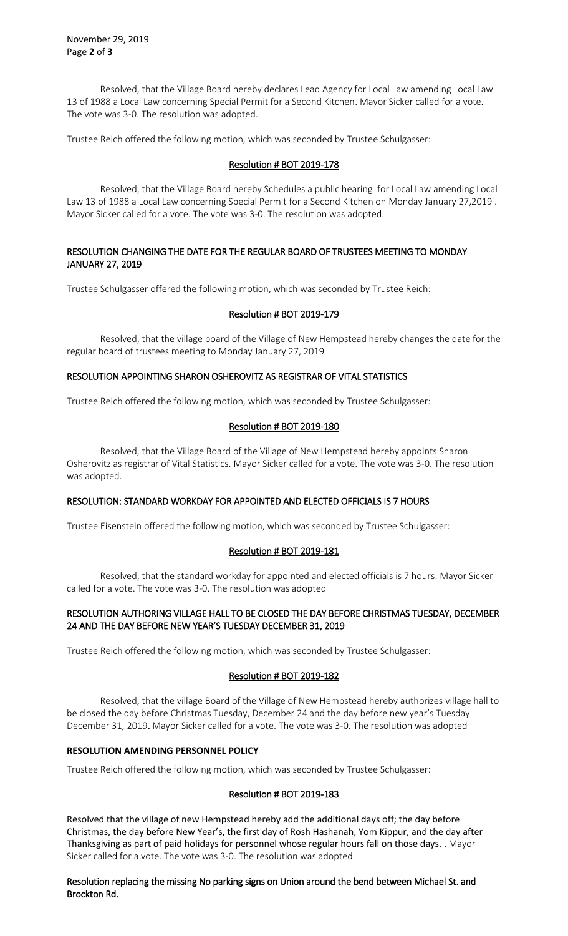Resolved, that the Village Board hereby declares Lead Agency for Local Law amending Local Law 13 of 1988 a Local Law concerning Special Permit for a Second Kitchen. Mayor Sicker called for a vote. The vote was 3-0. The resolution was adopted.

Trustee Reich offered the following motion, which was seconded by Trustee Schulgasser:

# Resolution # BOT 2019-178

Resolved, that the Village Board hereby Schedules a public hearing for Local Law amending Local Law 13 of 1988 a Local Law concerning Special Permit for a Second Kitchen on Monday January 27,2019 . Mayor Sicker called for a vote. The vote was 3-0. The resolution was adopted.

# RESOLUTION CHANGING THE DATE FOR THE REGULAR BOARD OF TRUSTEES MEETING TO MONDAY JANUARY 27, 2019

Trustee Schulgasser offered the following motion, which was seconded by Trustee Reich:

### Resolution # BOT 2019-179

Resolved, that the village board of the Village of New Hempstead hereby changes the date for the regular board of trustees meeting to Monday January 27, 2019

### RESOLUTION APPOINTING SHARON OSHEROVITZ AS REGISTRAR OF VITAL STATISTICS

Trustee Reich offered the following motion, which was seconded by Trustee Schulgasser:

### Resolution # BOT 2019-180

Resolved, that the Village Board of the Village of New Hempstead hereby appoints Sharon Osherovitz as registrar of Vital Statistics. Mayor Sicker called for a vote. The vote was 3-0. The resolution was adopted.

### RESOLUTION: STANDARD WORKDAY FOR APPOINTED AND ELECTED OFFICIALS IS 7 HOURS

Trustee Eisenstein offered the following motion, which was seconded by Trustee Schulgasser:

### Resolution # BOT 2019-181

Resolved, that the standard workday for appointed and elected officials is 7 hours. Mayor Sicker called for a vote. The vote was 3-0. The resolution was adopted

### RESOLUTION AUTHORING VILLAGE HALL TO BE CLOSED THE DAY BEFORE CHRISTMAS TUESDAY, DECEMBER 24 AND THE DAY BEFORE NEW YEAR'S TUESDAY DECEMBER 31, 2019

Trustee Reich offered the following motion, which was seconded by Trustee Schulgasser:

### Resolution # BOT 2019-182

Resolved, that the village Board of the Village of New Hempstead hereby authorizes village hall to be closed the day before Christmas Tuesday, December 24 and the day before new year's Tuesday December 31, 2019. Mayor Sicker called for a vote. The vote was 3-0. The resolution was adopted

## **RESOLUTION AMENDING PERSONNEL POLICY**

Trustee Reich offered the following motion, which was seconded by Trustee Schulgasser:

### Resolution # BOT 2019-183

Resolved that the village of new Hempstead hereby add the additional days off; the day before Christmas, the day before New Year's, the first day of Rosh Hashanah, Yom Kippur, and the day after Thanksgiving as part of paid holidays for personnel whose regular hours fall on those days. . Mayor Sicker called for a vote. The vote was 3-0. The resolution was adopted

### Resolution replacing the missing No parking signs on Union around the bend between Michael St. and Brockton Rd.